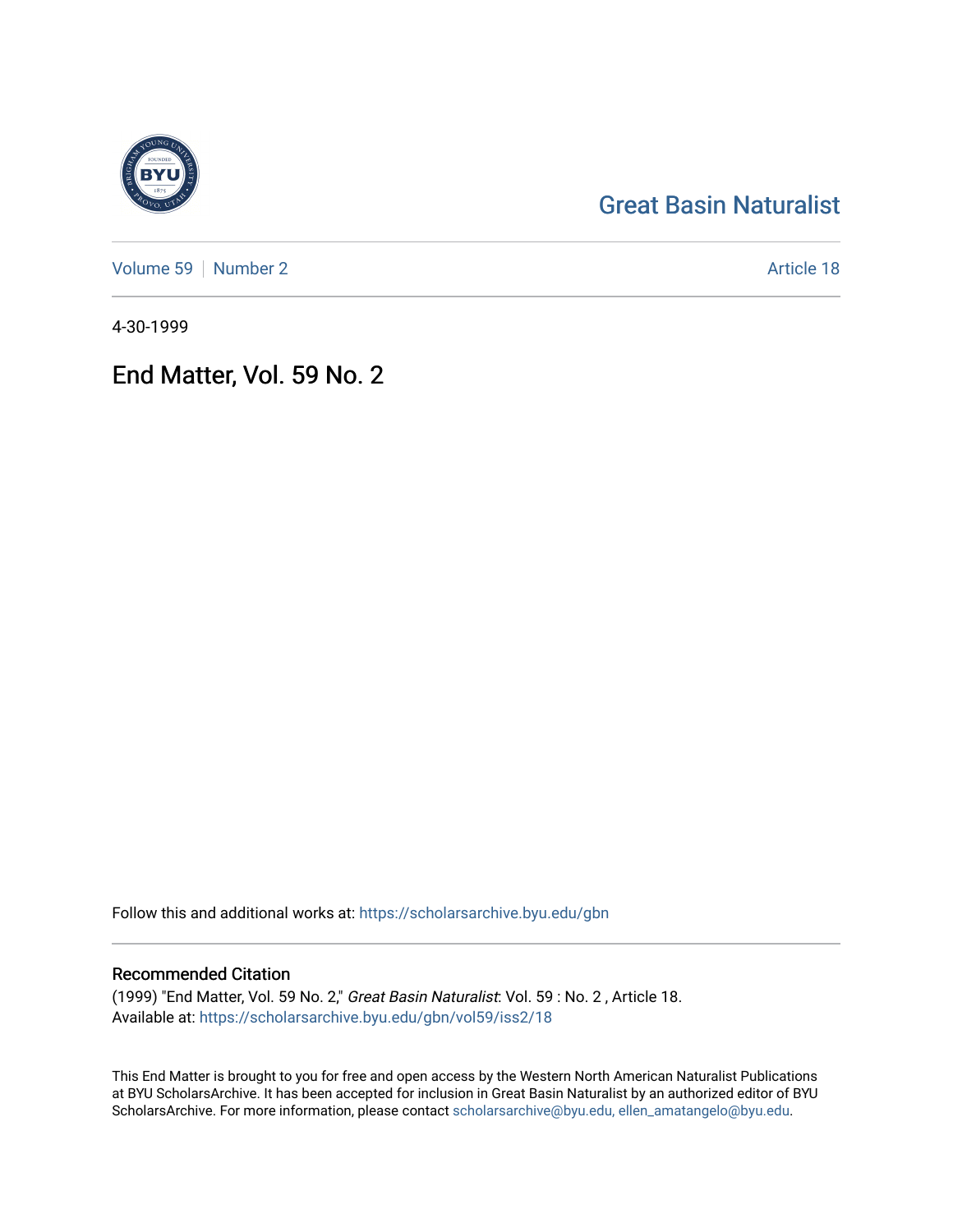# [Great Basin Naturalist](https://scholarsarchive.byu.edu/gbn)

[Volume 59](https://scholarsarchive.byu.edu/gbn/vol59) [Number 2](https://scholarsarchive.byu.edu/gbn/vol59/iss2) Article 18

4-30-1999

End Matter, Vol. 59 No. 2

Follow this and additional works at: [https://scholarsarchive.byu.edu/gbn](https://scholarsarchive.byu.edu/gbn?utm_source=scholarsarchive.byu.edu%2Fgbn%2Fvol59%2Fiss2%2F18&utm_medium=PDF&utm_campaign=PDFCoverPages) 

### Recommended Citation

(1999) "End Matter, Vol. 59 No. 2," Great Basin Naturalist: Vol. 59 : No. 2 , Article 18. Available at: [https://scholarsarchive.byu.edu/gbn/vol59/iss2/18](https://scholarsarchive.byu.edu/gbn/vol59/iss2/18?utm_source=scholarsarchive.byu.edu%2Fgbn%2Fvol59%2Fiss2%2F18&utm_medium=PDF&utm_campaign=PDFCoverPages) 

This End Matter is brought to you for free and open access by the Western North American Naturalist Publications at BYU ScholarsArchive. It has been accepted for inclusion in Great Basin Naturalist by an authorized editor of BYU ScholarsArchive. For more information, please contact [scholarsarchive@byu.edu, ellen\\_amatangelo@byu.edu.](mailto:scholarsarchive@byu.edu,%20ellen_amatangelo@byu.edu)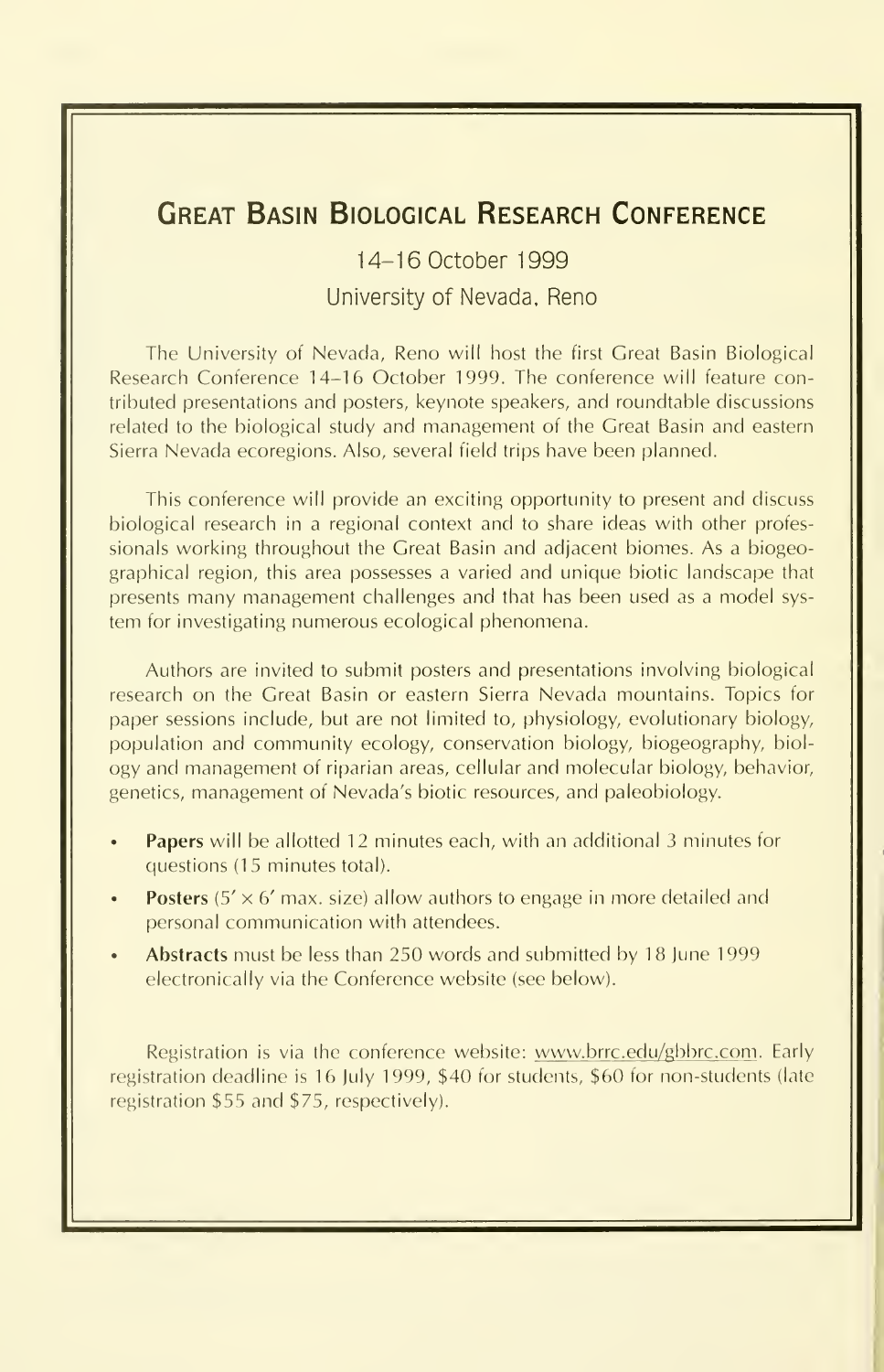# Great Basin Biological Research Conference

14-16 October 1999 University of Nevada. Reno

The University of Nevada, Reno will host the first Great Basin Biological Research Conference 14-16 October 1999. The conference will feature contributed presentations and posters, keynote speakers, and roundtable discussions related to the biological study and management of the Great Basin and eastern Sierra Nevada ecoregions. Also, several field trips have been planned.

This conference will provide an exciting opportunity to present and discuss biological research in a regional context and to share ideas with other professionals working throughout the Great Basin and adjacent biomes. As a biogeographical region, this area possesses a varied and unique biotic landscape that presents many management challenges and that has been used as <sup>a</sup> model sys tem for investigating numerous ecological phenomena.

Authors are invited to submit posters and presentations involving biological research on the Great Basin or eastern Sierra Nevada mountains. Topics for paper sessions include, but are not limited to, physiology, evolutionary biology, population and community ecology, conservation biology, biogeography, biol ogy and management of riparian areas, cellular and molecular biology, behavior, genetics, management of Nevada's biotic resources, and paleobiology.

- Papers will be allotted 12 minutes each, with an additional 3 minutes for questions (15 minutes total).
- **Posters** (5'  $\times$  6' max. size) allow authors to engage in more detailed and personal communication with attendees.
- Abstracts must be less than 250 words and submitted by 18 June 1999 electronically via the Conference website (see below).

Registration is via the conference website: www.brrc.edu/gbbrc.com . Early registration deadline is 16 July 1999, \$40 for students, \$60 for non-students (late registration \$55 and \$75, respectively).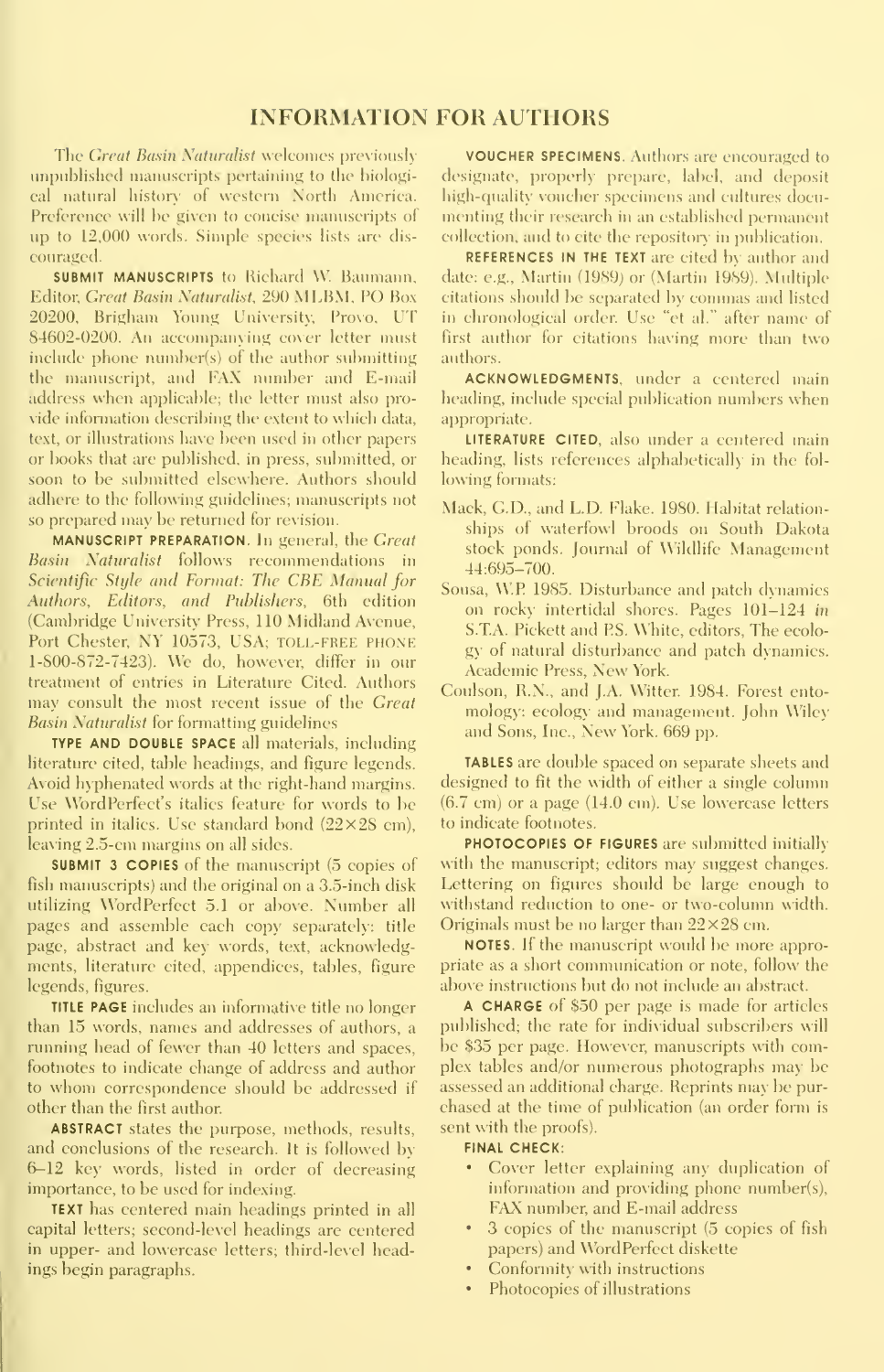### **INFORMATION FOR AUTHORS**

The Great Basin Naturalist welcomes previously unpublished manuscripts pertaining to the hiological natural history of western North America. Preference will be given to concise manuscripts of up to 12,000 words. Simple species lists are discouraged.

**SUBMIT MANUSCRIPTS** to Richard W. Baumann. Editor, Great Basin Naturalist, 290 MLBM, PO Box 20200, Brigham Young University, Provo, UT 84602-0200. An accompanying cover letter must include phone number(s) of the author submitting the manuscript, and FAX number and E-mail address when applicable; the letter must also provide information describing the extent to which data, text, or illustrations have been used in other papers or books that are published, in press, submitted, or soon to be submitted elsewhere. Authors should adhere to the following guidelines; manuscripts not so prepared may be returned for revision.

MANUSCRIPT PREPARATION. In general, the Great Basin Naturalist follows recommendations in Scientific Stule and Format: The CBE Manual for Authors, Editors, and Publishers, 6th edition (Cambridge University Press, 110 Midland Avenue, Port Chester, NY 10573, USA; TOLL-FREE PHONE 1-800-872-7423). We do, however, differ in our treatment of entries in Literature Cited. Authors may consult the most recent issue of the Great **Basin Naturalist for formatting guidelines** 

TYPE AND DOUBLE SPACE all materials, including literature cited, table headings, and figure legends. Avoid hyphenated words at the right-hand margins. Use WordPerfect's italics feature for words to be printed in italics. Use standard bond  $(22\times28$  cm). leaving 2.5-cm margins on all sides.

SUBMIT 3 COPIES of the manuscript (5 copies of fish manuscripts) and the original on a 3.5-inch disk utilizing WordPerfect 5.1 or above. Number all pages and assemble each copy separately: title page, abstract and key words, text, acknowledgments, literature cited, appendices, tables, figure legends, figures.

TITLE PAGE includes an informative title no longer than 15 words, names and addresses of authors, a running head of fewer than 40 letters and spaces. footnotes to indicate change of address and author to whom correspondence should be addressed if other than the first author.

**ABSTRACT** states the purpose, methods, results, and conclusions of the research. It is followed by 6-12 key words, listed in order of decreasing importance, to be used for indexing.

**TEXT** has centered main headings printed in all capital letters; second-level headings are centered in upper- and lowercase letters; third-level headings begin paragraphs.

**VOUCHER SPECIMENS.** Authors are encouraged to designate, properly prepare, label, and deposit high-quality voucher specimens and cultures documenting their research in an established permanent collection, and to cite the repository in publication.

**REFERENCES IN THE TEXT** are cited by author and date: e.g., Martin (1989) or (Martin 1989). Multiple citations should be separated by commas and listed in chronological order. Use "et al." after name of first author for citations having more than two authors.

**ACKNOWLEDGMENTS.** under a centered main heading, include special publication numbers when appropriate.

LITERATURE CITED, also under a centered main heading, lists references alphabetically in the following formats:

- Mack, G.D., and L.D. Flake. 1980. Habitat relationships of waterfowl broods on South Dakota stock ponds. Journal of Wildlife Management  $44:695 - 700.$
- Sousa, W.P. 1985. Disturbance and patch dynamics on rocky intertidal shores. Pages 101-124 in S.T.A. Pickett and P.S. White, editors, The ecology of natural disturbance and patch dynamics. Academic Press, New York.
- Coulson, R.N., and J.A. Witter. 1984. Forest entomology: ecology and management. John Wiley and Sons, Inc., New York. 669 pp.

TABLES are double spaced on separate sheets and designed to fit the width of either a single column  $(6.7 \text{ cm})$  or a page  $(14.0 \text{ cm})$ . Use lowercase letters to indicate footnotes.

PHOTOCOPIES OF FIGURES are submitted initially with the manuscript; editors may suggest changes. Lettering on figures should be large enough to withstand reduction to one- or two-column width. Originals must be no larger than  $22 \times 28$  cm.

**NOTES.** If the manuscript would be more appropriate as a short communication or note, follow the above instructions but do not include an abstract.

A CHARGE of \$50 per page is made for articles published; the rate for individual subscribers will be \$35 per page. However, manuscripts with complex tables and/or numerous photographs may be assessed an additional charge. Reprints may be purchased at the time of publication (an order form is sent with the proofs).

#### **FINAL CHECK:**

- Cover letter explaining any duplication of information and providing phone number(s), FAX number, and E-mail address
- 3 copies of the manuscript (5 copies of fish  $\bullet$ papers) and WordPerfeet diskette
- Conformity with instructions
- $\bullet$ Photocopies of illustrations